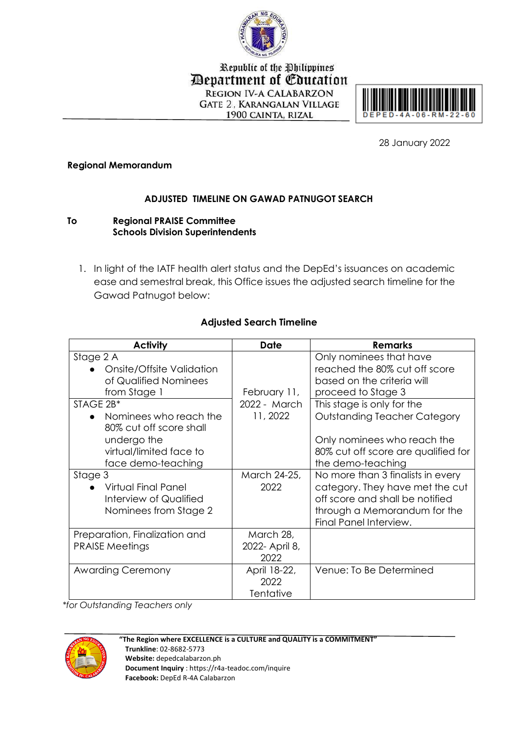

Republic of the Philippines **Department of Education** REGION IV-A CALABARZON **GATE 2, KARANGALAN VILLAGE** 1900 CAINTA, RIZAL



28 January 2022

## **Regional Memorandum**

## **ADJUSTED TIMELINE ON GAWAD PATNUGOT SEARCH**

## **To Regional PRAISE Committee Schools Division Superintendents**

1. In light of the IATF health alert status and the DepEd's issuances on academic ease and semestral break, this Office issues the adjusted search timeline for the Gawad Patnugot below:

| <b>Activity</b>                                                                                                                  | <b>Date</b>                         | <b>Remarks</b>                                                                                                                                                    |
|----------------------------------------------------------------------------------------------------------------------------------|-------------------------------------|-------------------------------------------------------------------------------------------------------------------------------------------------------------------|
| Stage 2 A<br>Onsite/Offsite Validation<br>of Qualified Nominees<br>from Stage 1                                                  | February 11,                        | Only nominees that have<br>reached the 80% cut off score<br>based on the criteria will<br>proceed to Stage 3                                                      |
| STAGE 2B*<br>• Nominees who reach the<br>80% cut off score shall<br>undergo the<br>virtual/limited face to<br>face demo-teaching | 2022 - March<br>11, 2022            | This stage is only for the<br><b>Outstanding Teacher Category</b><br>Only nominees who reach the<br>80% cut off score are qualified for<br>the demo-teaching      |
| Stage 3<br><b>Virtual Final Panel</b><br>Interview of Qualified<br>Nominees from Stage 2                                         | March 24-25,<br>2022                | No more than 3 finalists in every<br>category. They have met the cut<br>off score and shall be notified<br>through a Memorandum for the<br>Final Panel Interview. |
| Preparation, Finalization and<br><b>PRAISE Meetings</b>                                                                          | March 28,<br>2022- April 8,<br>2022 |                                                                                                                                                                   |
| <b>Awarding Ceremony</b>                                                                                                         | April 18-22,<br>2022<br>Tentative   | Venue: To Be Determined                                                                                                                                           |

## **Adjusted Search Timeline**

*\*for Outstanding Teachers only*



 **"The Region where EXCELLENCE is a CULTURE and QUALITY is a COMMITMENT" Trunkline**: 02-8682-5773 **Website:** depedcalabarzon.ph **Document Inquiry** : https://r4a-teadoc.com/inquire **Facebook:** DepEd R-4A Calabarzon